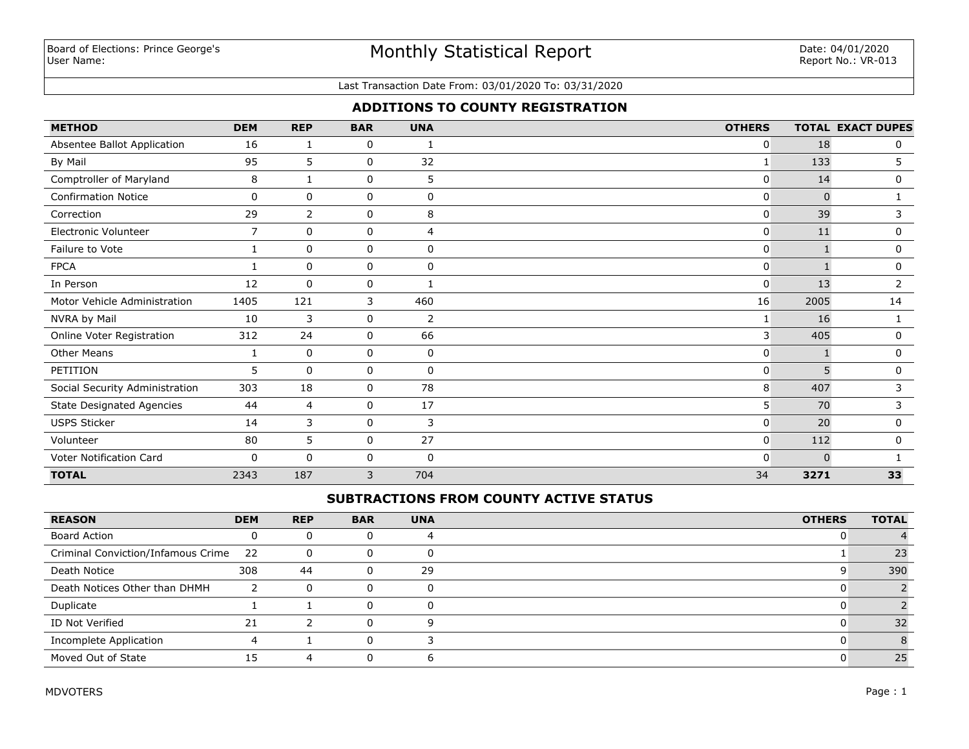## Monthly Statistical Report

#### Last Transaction Date From: 03/01/2020 To: 03/31/2020

## **ADDITIONS TO COUNTY REGISTRATION**

| <b>METHOD</b>                    | <b>DEM</b>     | <b>REP</b>     | <b>BAR</b> | <b>UNA</b>   | <b>OTHERS</b> |          | <b>TOTAL EXACT DUPES</b> |
|----------------------------------|----------------|----------------|------------|--------------|---------------|----------|--------------------------|
| Absentee Ballot Application      | 16             | 1              | 0          |              | 0             | 18       | 0                        |
| By Mail                          | 95             | 5              | 0          | 32           | 1             | 133      | 5                        |
| Comptroller of Maryland          | 8              | 1              | 0          | 5            | 0             | 14       | 0                        |
| <b>Confirmation Notice</b>       | 0              | $\mathbf{0}$   | 0          | 0            | 0             | $\Omega$ |                          |
| Correction                       | 29             | $\overline{2}$ | 0          | 8            | 0             | 39       | 3                        |
| Electronic Volunteer             | $\overline{7}$ | $\Omega$       | 0          | 4            | 0             | 11       | 0                        |
| Failure to Vote                  | 1              | $\mathbf 0$    | 0          | $\mathbf 0$  | 0             |          | 0                        |
| <b>FPCA</b>                      |                | $\mathbf 0$    | 0          | $\mathbf 0$  | 0             |          | 0                        |
| In Person                        | 12             | $\mathbf 0$    | 0          | 1            | 0             | 13       | 2                        |
| Motor Vehicle Administration     | 1405           | 121            | 3          | 460          | 16            | 2005     | 14                       |
| NVRA by Mail                     | 10             | 3              | 0          | 2            |               | 16       |                          |
| Online Voter Registration        | 312            | 24             | 0          | 66           | 3             | 405      | 0                        |
| <b>Other Means</b>               | 1              | $\Omega$       | 0          | $\mathbf 0$  | 0             |          | 0                        |
| PETITION                         | 5              | $\mathbf 0$    | 0          | $\mathbf 0$  | 0             | 5        | 0                        |
| Social Security Administration   | 303            | 18             | 0          | 78           | 8             | 407      | 3                        |
| <b>State Designated Agencies</b> | 44             | $\overline{4}$ | 0          | 17           | 5             | 70       | 3                        |
| <b>USPS Sticker</b>              | 14             | 3              | 0          | 3            | 0             | 20       | 0                        |
| Volunteer                        | 80             | 5              | 0          | 27           | 0             | 112      | 0                        |
| Voter Notification Card          | 0              | $\Omega$       | 0          | $\mathbf{0}$ | 0             | $\Omega$ |                          |
| <b>TOTAL</b>                     | 2343           | 187            | 3          | 704          | 34            | 3271     | 33                       |

### **SUBTRACTIONS FROM COUNTY ACTIVE STATUS**

| <b>REASON</b>                      | <b>DEM</b> | <b>REP</b> | <b>BAR</b> | <b>UNA</b> | <b>OTHERS</b> | <b>TOTAL</b> |
|------------------------------------|------------|------------|------------|------------|---------------|--------------|
| <b>Board Action</b>                |            |            |            |            |               |              |
| Criminal Conviction/Infamous Crime | - 22       | 0          | 0          |            |               | 23           |
| Death Notice                       | 308        | 44         | 0          | 29         |               | 390          |
| Death Notices Other than DHMH      |            | $\Omega$   |            |            |               |              |
| Duplicate                          |            |            | 0          |            |               |              |
| ID Not Verified                    | 21         |            | O.         |            |               | 32           |
| Incomplete Application             |            |            | 0          |            |               |              |
| Moved Out of State                 | 15         |            |            |            |               | 25           |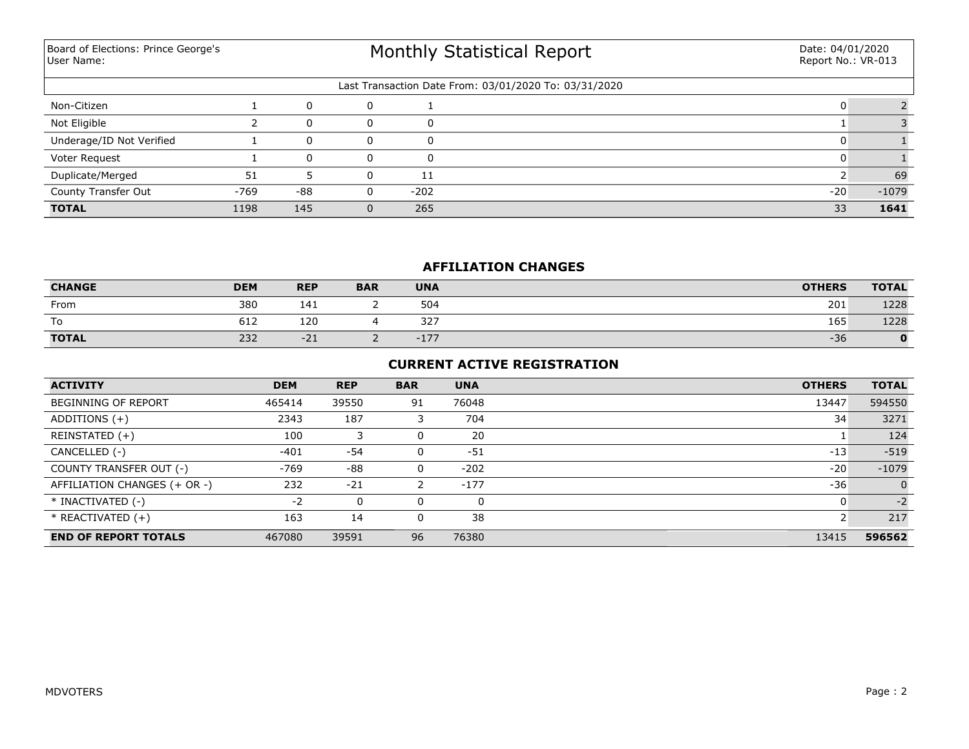Board of Elections: Prince George's User Name:

# Monthly Statistical Report

| Last Transaction Date From: 03/01/2020 To: 03/31/2020 |        |     |   |        |       |         |  |  |  |
|-------------------------------------------------------|--------|-----|---|--------|-------|---------|--|--|--|
| Non-Citizen                                           |        |     |   |        |       |         |  |  |  |
| Not Eligible                                          |        |     |   |        |       |         |  |  |  |
| Underage/ID Not Verified                              |        |     |   |        |       |         |  |  |  |
| Voter Request                                         |        |     | 0 |        |       |         |  |  |  |
| Duplicate/Merged                                      | 51     |     | 0 | 11     |       | 69      |  |  |  |
| County Transfer Out                                   | $-769$ | -88 | 0 | $-202$ | $-20$ | $-1079$ |  |  |  |
| <b>TOTAL</b>                                          | 1198   | 145 |   | 265    | 33    | 1641    |  |  |  |

## **AFFILIATION CHANGES**

| <b>CHANGE</b>      | <b>DEM</b> | <b>REP</b> | <b>BAR</b> | <b>UNA</b> | <b>OTHERS</b> | <b>TOTAL</b> |
|--------------------|------------|------------|------------|------------|---------------|--------------|
| From               | 380        | 141        | ∸          | 504        | 201           | 1228         |
| $\mathbf{r}$<br>10 | 612        | 120        |            | 327        | 165           | 1228         |
| <b>TOTAL</b>       | 232        | $-21$      | <u>.</u>   | $-177$     | $-36$         | $\mathbf{0}$ |

### **CURRENT ACTIVE REGISTRATION**

| <b>ACTIVITY</b>              | <b>DEM</b> | <b>REP</b> | <b>BAR</b> | <b>UNA</b> | <b>OTHERS</b> | <b>TOTAL</b> |
|------------------------------|------------|------------|------------|------------|---------------|--------------|
| <b>BEGINNING OF REPORT</b>   | 465414     | 39550      | 91         | 76048      | 13447         | 594550       |
| ADDITIONS $(+)$              | 2343       | 187        |            | 704        | 34            | 3271         |
| REINSTATED (+)               | 100        |            |            | 20         |               | 124          |
| CANCELLED (-)                | $-401$     | $-54$      |            | $-51$      | $-13$         | $-519$       |
| COUNTY TRANSFER OUT (-)      | -769       | $-88$      |            | $-202$     | $-20$         | $-1079$      |
| AFFILIATION CHANGES (+ OR -) | 232        | $-21$      | 2          | $-177$     | $-36$         | $\mathbf{0}$ |
| * INACTIVATED (-)            | $-2$       | 0          |            | 0          |               | $-2$         |
| * REACTIVATED (+)            | 163        | 14         |            | 38         |               | 217          |
| <b>END OF REPORT TOTALS</b>  | 467080     | 39591      | 96         | 76380      | 13415         | 596562       |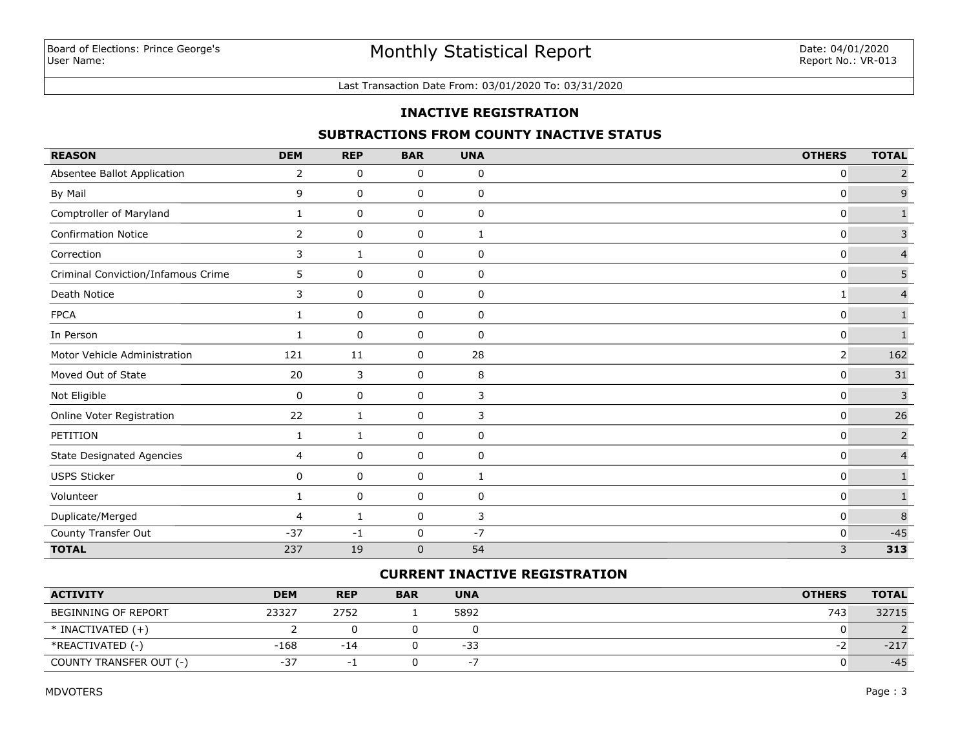#### Last Transaction Date From: 03/01/2020 To: 03/31/2020

### **INACTIVE REGISTRATION**

## **SUBTRACTIONS FROM COUNTY INACTIVE STATUS**

| <b>REASON</b>                      | <b>DEM</b>     | <b>REP</b>   | <b>BAR</b>  | <b>UNA</b>  | <b>OTHERS</b>  | <b>TOTAL</b>   |
|------------------------------------|----------------|--------------|-------------|-------------|----------------|----------------|
| Absentee Ballot Application        | $\overline{2}$ | 0            | 0           | 0           | 0              | $\overline{2}$ |
| By Mail                            | 9              | 0            | 0           | 0           | 0              | 9              |
| Comptroller of Maryland            | 1              | 0            | 0           | 0           | 0              | $\mathbf{1}$   |
| <b>Confirmation Notice</b>         | $\overline{2}$ | 0            | 0           | 1           | $\mathbf{0}$   | $\mathsf 3$    |
| Correction                         | 3              | 1            | 0           | 0           | $\mathbf{0}$   | $\overline{4}$ |
| Criminal Conviction/Infamous Crime | 5              | 0            | 0           | 0           | 0              | 5              |
| Death Notice                       | 3              | 0            | 0           | 0           | 1              | $\overline{4}$ |
| <b>FPCA</b>                        | $\mathbf{1}$   | $\mathbf 0$  | 0           | $\mathbf 0$ | $\mathbf{0}$   | $\mathbf{1}$   |
| In Person                          | 1              | 0            | 0           | 0           | 0              | $\mathbf 1$    |
| Motor Vehicle Administration       | 121            | 11           | 0           | 28          | $\overline{2}$ | 162            |
| Moved Out of State                 | 20             | 3            | 0           | 8           | $\mathbf{0}$   | 31             |
| Not Eligible                       | $\mathbf 0$    | 0            | 0           | 3           | $\mathbf 0$    | $\overline{3}$ |
| Online Voter Registration          | 22             | 1            | 0           | 3           | 0              | $26\,$         |
| PETITION                           | 1              | $\mathbf{1}$ | 0           | 0           | 0              | $\overline{2}$ |
| <b>State Designated Agencies</b>   | $\overline{4}$ | 0            | 0           | 0           | 0              | $\overline{4}$ |
| USPS Sticker                       | 0              | 0            | 0           | 1           | $\mathbf{0}$   | $\mathbf 1$    |
| Volunteer                          | 1              | 0            | 0           | 0           | 0              | $\mathbf 1$    |
| Duplicate/Merged                   | 4              | 1            | 0           | 3           | 0              | $\delta$       |
| County Transfer Out                | $-37$          | $-1$         | $\mathbf 0$ | $-7$        | $\mathbf 0$    | $-45$          |
| <b>TOTAL</b>                       | 237            | 19           | $\mathbf 0$ | 54          | 3              | 313            |

## **CURRENT INACTIVE REGISTRATION**

| <b>ACTIVITY</b>            | <b>DEM</b> | <b>REP</b> | <b>BAR</b> | <b>UNA</b>               | <b>OTHERS</b> | <b>TOTAL</b> |
|----------------------------|------------|------------|------------|--------------------------|---------------|--------------|
| <b>BEGINNING OF REPORT</b> | 23327      | 2752       |            | 5892                     | 743           | 32715        |
| $*$ INACTIVATED $(+)$      |            |            |            |                          |               |              |
| *REACTIVATED (-)           | $-168$     | $-14$      |            | $-33$                    |               | $-217$       |
| COUNTY TRANSFER OUT (-)    | $-37$      |            |            | $\overline{\phantom{0}}$ |               | $-45$        |